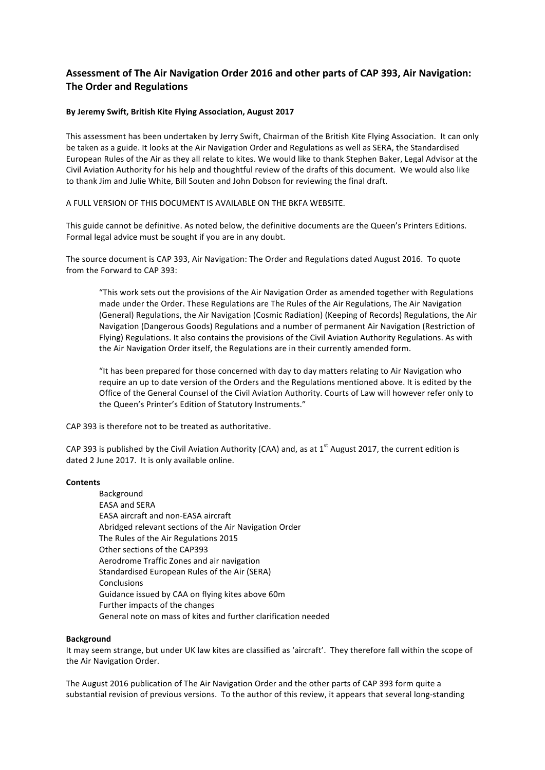# Assessment of The Air Navigation Order 2016 and other parts of CAP 393, Air Navigation: **The Order and Regulations**

#### By Jeremy Swift, British Kite Flying Association, August 2017

This assessment has been undertaken by Jerry Swift, Chairman of the British Kite Flying Association. It can only be taken as a guide. It looks at the Air Navigation Order and Regulations as well as SERA, the Standardised European Rules of the Air as they all relate to kites. We would like to thank Stephen Baker, Legal Advisor at the Civil Aviation Authority for his help and thoughtful review of the drafts of this document. We would also like to thank Jim and Julie White, Bill Souten and John Dobson for reviewing the final draft.

#### A FULL VERSION OF THIS DOCUMENT IS AVAILABLE ON THE BKFA WEBSITE.

This guide cannot be definitive. As noted below, the definitive documents are the Queen's Printers Editions. Formal legal advice must be sought if you are in any doubt.

The source document is CAP 393, Air Navigation: The Order and Regulations dated August 2016. To quote from the Forward to CAP 393:

"This work sets out the provisions of the Air Navigation Order as amended together with Regulations made under the Order. These Regulations are The Rules of the Air Regulations, The Air Navigation (General) Regulations, the Air Navigation (Cosmic Radiation) (Keeping of Records) Regulations, the Air Navigation (Dangerous Goods) Regulations and a number of permanent Air Navigation (Restriction of Flying) Regulations. It also contains the provisions of the Civil Aviation Authority Regulations. As with the Air Navigation Order itself, the Regulations are in their currently amended form.

"It has been prepared for those concerned with day to day matters relating to Air Navigation who require an up to date version of the Orders and the Regulations mentioned above. It is edited by the Office of the General Counsel of the Civil Aviation Authority. Courts of Law will however refer only to the Queen's Printer's Edition of Statutory Instruments."

CAP 393 is therefore not to be treated as authoritative.

CAP 393 is published by the Civil Aviation Authority (CAA) and, as at  $1<sup>st</sup>$  August 2017, the current edition is dated 2 June 2017. It is only available online.

#### **Contents**

Background EASA and SERA EASA aircraft and non-EASA aircraft Abridged relevant sections of the Air Navigation Order The Rules of the Air Regulations 2015 Other sections of the CAP393 Aerodrome Traffic Zones and air navigation Standardised European Rules of the Air (SERA) Conclusions Guidance issued by CAA on flying kites above 60m Further impacts of the changes General note on mass of kites and further clarification needed

#### **Background**

It may seem strange, but under UK law kites are classified as 'aircraft'. They therefore fall within the scope of the Air Navigation Order.

The August 2016 publication of The Air Navigation Order and the other parts of CAP 393 form quite a substantial revision of previous versions. To the author of this review, it appears that several long-standing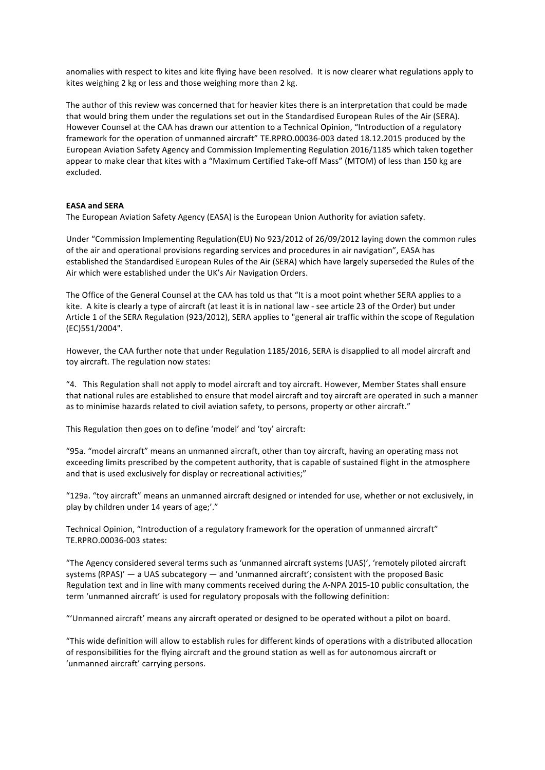anomalies with respect to kites and kite flying have been resolved. It is now clearer what regulations apply to kites weighing 2 kg or less and those weighing more than 2 kg.

The author of this review was concerned that for heavier kites there is an interpretation that could be made that would bring them under the regulations set out in the Standardised European Rules of the Air (SERA). However Counsel at the CAA has drawn our attention to a Technical Opinion, "Introduction of a regulatory framework for the operation of unmanned aircraft" TE.RPRO.00036-003 dated 18.12.2015 produced by the European Aviation Safety Agency and Commission Implementing Regulation 2016/1185 which taken together appear to make clear that kites with a "Maximum Certified Take-off Mass" (MTOM) of less than 150 kg are excluded. 

#### **EASA and SERA**

The European Aviation Safety Agency (EASA) is the European Union Authority for aviation safety.

Under "Commission Implementing Regulation(EU) No 923/2012 of 26/09/2012 laying down the common rules of the air and operational provisions regarding services and procedures in air navigation", EASA has established the Standardised European Rules of the Air (SERA) which have largely superseded the Rules of the Air which were established under the UK's Air Navigation Orders.

The Office of the General Counsel at the CAA has told us that "It is a moot point whether SERA applies to a kite. A kite is clearly a type of aircraft (at least it is in national law - see article 23 of the Order) but under Article 1 of the SERA Regulation (923/2012), SERA applies to "general air traffic within the scope of Regulation (EC)551/2004". 

However, the CAA further note that under Regulation 1185/2016, SERA is disapplied to all model aircraft and toy aircraft. The regulation now states:

"4. This Regulation shall not apply to model aircraft and toy aircraft. However, Member States shall ensure that national rules are established to ensure that model aircraft and toy aircraft are operated in such a manner as to minimise hazards related to civil aviation safety, to persons, property or other aircraft."

This Regulation then goes on to define 'model' and 'toy' aircraft:

"95a. "model aircraft" means an unmanned aircraft, other than toy aircraft, having an operating mass not exceeding limits prescribed by the competent authority, that is capable of sustained flight in the atmosphere and that is used exclusively for display or recreational activities;"

"129a. "toy aircraft" means an unmanned aircraft designed or intended for use, whether or not exclusively, in play by children under 14 years of age;'."

Technical Opinion, "Introduction of a regulatory framework for the operation of unmanned aircraft" TE.RPRO.00036-003 states:

"The Agency considered several terms such as 'unmanned aircraft systems (UAS)', 'remotely piloted aircraft systems  $(RPAS)'$  — a UAS subcategory — and 'unmanned aircraft'; consistent with the proposed Basic Regulation text and in line with many comments received during the A-NPA 2015-10 public consultation, the term 'unmanned aircraft' is used for regulatory proposals with the following definition:

"'Unmanned aircraft' means any aircraft operated or designed to be operated without a pilot on board.

"This wide definition will allow to establish rules for different kinds of operations with a distributed allocation of responsibilities for the flying aircraft and the ground station as well as for autonomous aircraft or 'unmanned aircraft' carrying persons.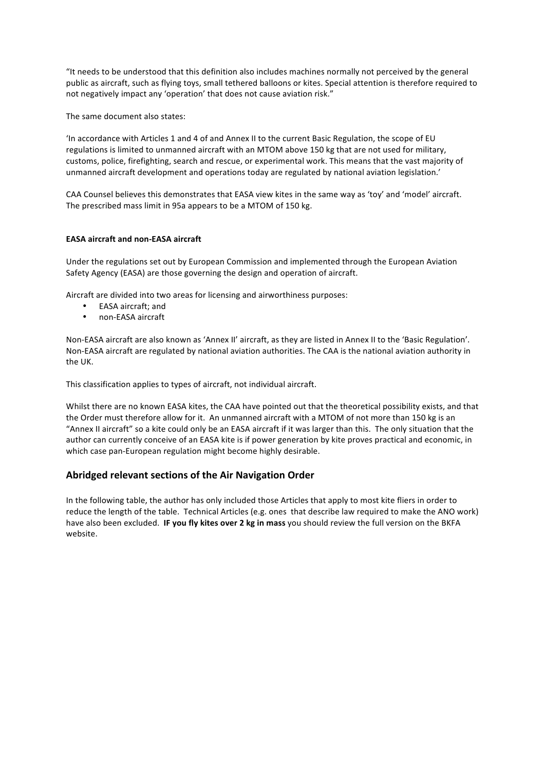"It needs to be understood that this definition also includes machines normally not perceived by the general public as aircraft, such as flying toys, small tethered balloons or kites. Special attention is therefore required to not negatively impact any 'operation' that does not cause aviation risk."

The same document also states:

'In accordance with Articles 1 and 4 of and Annex II to the current Basic Regulation, the scope of EU regulations is limited to unmanned aircraft with an MTOM above 150 kg that are not used for military, customs, police, firefighting, search and rescue, or experimental work. This means that the vast majority of unmanned aircraft development and operations today are regulated by national aviation legislation.'

CAA Counsel believes this demonstrates that EASA view kites in the same way as 'toy' and 'model' aircraft. The prescribed mass limit in 95a appears to be a MTOM of 150 kg.

### **EASA aircraft and non-EASA aircraft**

Under the regulations set out by European Commission and implemented through the European Aviation Safety Agency (EASA) are those governing the design and operation of aircraft.

Aircraft are divided into two areas for licensing and airworthiness purposes:

- EASA aircraft: and
- non-EASA aircraft

Non-EASA aircraft are also known as 'Annex II' aircraft, as they are listed in Annex II to the 'Basic Regulation'. Non-EASA aircraft are regulated by national aviation authorities. The CAA is the national aviation authority in the UK.

This classification applies to types of aircraft, not individual aircraft.

Whilst there are no known EASA kites, the CAA have pointed out that the theoretical possibility exists, and that the Order must therefore allow for it. An unmanned aircraft with a MTOM of not more than 150 kg is an "Annex II aircraft" so a kite could only be an EASA aircraft if it was larger than this. The only situation that the author can currently conceive of an EASA kite is if power generation by kite proves practical and economic, in which case pan-European regulation might become highly desirable.

# Abridged relevant sections of the Air Navigation Order

In the following table, the author has only included those Articles that apply to most kite fliers in order to reduce the length of the table. Technical Articles (e.g. ones that describe law required to make the ANO work) have also been excluded. **IF you fly kites over 2 kg in mass** you should review the full version on the BKFA website.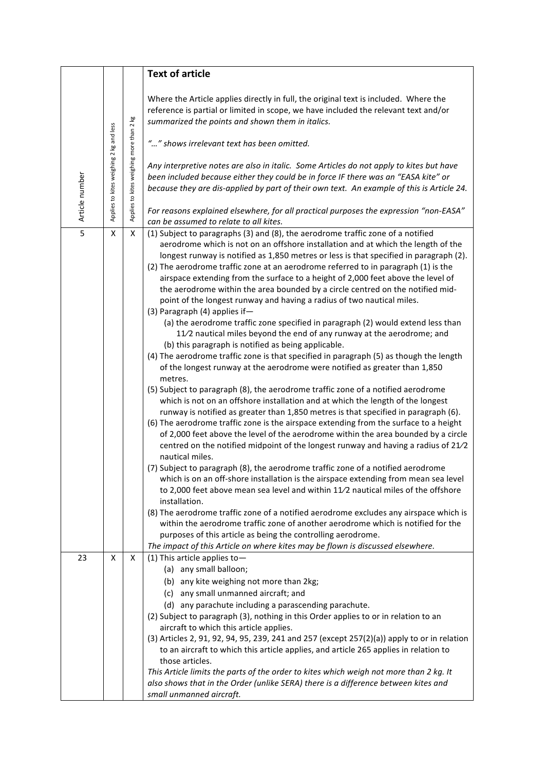|                |                                         |                                          | <b>Text of article</b>                                                                                                                                                                                                                                                                                                                                                                                                                                                                                                                                                                                                                                                                                                                                                                                                                                                                                                                                                                                                                                                                                                                                                                                                                                                                                                                                                                                                                                                                                                                                                                                                                                                                                                                                                                                                                                                                                                                                                                                                                                                                                                                                                                                              |  |  |  |
|----------------|-----------------------------------------|------------------------------------------|---------------------------------------------------------------------------------------------------------------------------------------------------------------------------------------------------------------------------------------------------------------------------------------------------------------------------------------------------------------------------------------------------------------------------------------------------------------------------------------------------------------------------------------------------------------------------------------------------------------------------------------------------------------------------------------------------------------------------------------------------------------------------------------------------------------------------------------------------------------------------------------------------------------------------------------------------------------------------------------------------------------------------------------------------------------------------------------------------------------------------------------------------------------------------------------------------------------------------------------------------------------------------------------------------------------------------------------------------------------------------------------------------------------------------------------------------------------------------------------------------------------------------------------------------------------------------------------------------------------------------------------------------------------------------------------------------------------------------------------------------------------------------------------------------------------------------------------------------------------------------------------------------------------------------------------------------------------------------------------------------------------------------------------------------------------------------------------------------------------------------------------------------------------------------------------------------------------------|--|--|--|
|                | Applies to kites weighing 2 kg and less | Applies to kites weighing more than 2 kg | Where the Article applies directly in full, the original text is included. Where the<br>reference is partial or limited in scope, we have included the relevant text and/or<br>summarized the points and shown them in italics.<br>"" shows irrelevant text has been omitted.                                                                                                                                                                                                                                                                                                                                                                                                                                                                                                                                                                                                                                                                                                                                                                                                                                                                                                                                                                                                                                                                                                                                                                                                                                                                                                                                                                                                                                                                                                                                                                                                                                                                                                                                                                                                                                                                                                                                       |  |  |  |
| Article number |                                         |                                          | Any interpretive notes are also in italic. Some Articles do not apply to kites but have<br>been included because either they could be in force IF there was an "EASA kite" or<br>because they are dis-applied by part of their own text. An example of this is Article 24.                                                                                                                                                                                                                                                                                                                                                                                                                                                                                                                                                                                                                                                                                                                                                                                                                                                                                                                                                                                                                                                                                                                                                                                                                                                                                                                                                                                                                                                                                                                                                                                                                                                                                                                                                                                                                                                                                                                                          |  |  |  |
|                |                                         |                                          | For reasons explained elsewhere, for all practical purposes the expression "non-EASA"<br>can be assumed to relate to all kites.                                                                                                                                                                                                                                                                                                                                                                                                                                                                                                                                                                                                                                                                                                                                                                                                                                                                                                                                                                                                                                                                                                                                                                                                                                                                                                                                                                                                                                                                                                                                                                                                                                                                                                                                                                                                                                                                                                                                                                                                                                                                                     |  |  |  |
| $\overline{5}$ | X                                       | Χ                                        | (1) Subject to paragraphs (3) and (8), the aerodrome traffic zone of a notified<br>aerodrome which is not on an offshore installation and at which the length of the<br>longest runway is notified as 1,850 metres or less is that specified in paragraph (2).<br>(2) The aerodrome traffic zone at an aerodrome referred to in paragraph (1) is the<br>airspace extending from the surface to a height of 2,000 feet above the level of<br>the aerodrome within the area bounded by a circle centred on the notified mid-<br>point of the longest runway and having a radius of two nautical miles.<br>(3) Paragraph (4) applies if-<br>(a) the aerodrome traffic zone specified in paragraph (2) would extend less than<br>11/2 nautical miles beyond the end of any runway at the aerodrome; and<br>(b) this paragraph is notified as being applicable.<br>(4) The aerodrome traffic zone is that specified in paragraph (5) as though the length<br>of the longest runway at the aerodrome were notified as greater than 1,850<br>metres.<br>(5) Subject to paragraph (8), the aerodrome traffic zone of a notified aerodrome<br>which is not on an offshore installation and at which the length of the longest<br>runway is notified as greater than 1,850 metres is that specified in paragraph (6).<br>(6) The aerodrome traffic zone is the airspace extending from the surface to a height<br>of 2,000 feet above the level of the aerodrome within the area bounded by a circle<br>centred on the notified midpoint of the longest runway and having a radius of 21/2<br>nautical miles.<br>(7) Subject to paragraph (8), the aerodrome traffic zone of a notified aerodrome<br>which is on an off-shore installation is the airspace extending from mean sea level<br>to 2,000 feet above mean sea level and within 11/2 nautical miles of the offshore<br>installation.<br>(8) The aerodrome traffic zone of a notified aerodrome excludes any airspace which is<br>within the aerodrome traffic zone of another aerodrome which is notified for the<br>purposes of this article as being the controlling aerodrome.<br>The impact of this Article on where kites may be flown is discussed elsewhere. |  |  |  |
| 23             | X                                       | X                                        | (1) This article applies to $-$<br>(a) any small balloon;<br>(b) any kite weighing not more than 2kg;<br>(c) any small unmanned aircraft; and                                                                                                                                                                                                                                                                                                                                                                                                                                                                                                                                                                                                                                                                                                                                                                                                                                                                                                                                                                                                                                                                                                                                                                                                                                                                                                                                                                                                                                                                                                                                                                                                                                                                                                                                                                                                                                                                                                                                                                                                                                                                       |  |  |  |
|                |                                         |                                          | (d) any parachute including a parascending parachute.<br>(2) Subject to paragraph (3), nothing in this Order applies to or in relation to an<br>aircraft to which this article applies.<br>(3) Articles 2, 91, 92, 94, 95, 239, 241 and 257 (except 257(2)(a)) apply to or in relation<br>to an aircraft to which this article applies, and article 265 applies in relation to<br>those articles.<br>This Article limits the parts of the order to kites which weigh not more than 2 kg. It<br>also shows that in the Order (unlike SERA) there is a difference between kites and<br>small unmanned aircraft.                                                                                                                                                                                                                                                                                                                                                                                                                                                                                                                                                                                                                                                                                                                                                                                                                                                                                                                                                                                                                                                                                                                                                                                                                                                                                                                                                                                                                                                                                                                                                                                                       |  |  |  |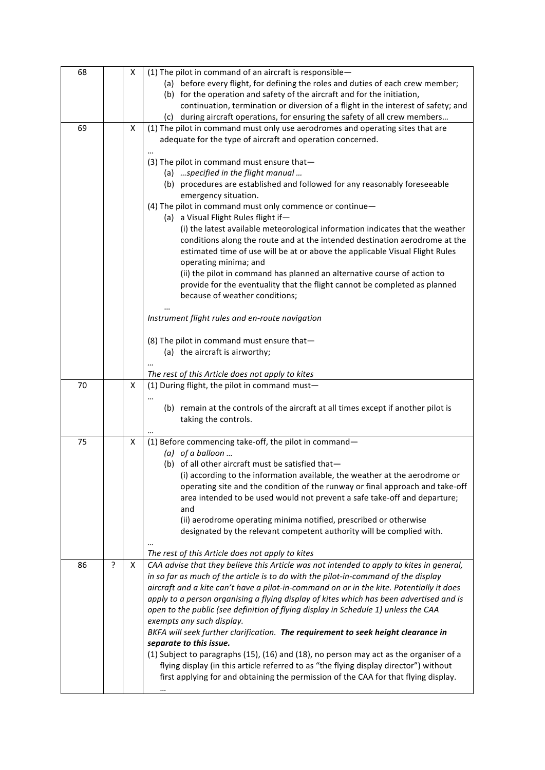| 68 |   | x | (1) The pilot in command of an aircraft is responsible-<br>(a) before every flight, for defining the roles and duties of each crew member;                                                                                                                                            |  |  |  |
|----|---|---|---------------------------------------------------------------------------------------------------------------------------------------------------------------------------------------------------------------------------------------------------------------------------------------|--|--|--|
|    |   |   | (b) for the operation and safety of the aircraft and for the initiation,<br>continuation, termination or diversion of a flight in the interest of safety; and<br>(c) during aircraft operations, for ensuring the safety of all crew members                                          |  |  |  |
| 69 |   | x | (1) The pilot in command must only use aerodromes and operating sites that are<br>adequate for the type of aircraft and operation concerned.                                                                                                                                          |  |  |  |
|    |   |   | (3) The pilot in command must ensure that-                                                                                                                                                                                                                                            |  |  |  |
|    |   |   | (a)  specified in the flight manual<br>(b) procedures are established and followed for any reasonably foreseeable                                                                                                                                                                     |  |  |  |
|    |   |   | emergency situation.<br>(4) The pilot in command must only commence or continue-                                                                                                                                                                                                      |  |  |  |
|    |   |   | (a) a Visual Flight Rules flight if-<br>(i) the latest available meteorological information indicates that the weather<br>conditions along the route and at the intended destination aerodrome at the<br>estimated time of use will be at or above the applicable Visual Flight Rules |  |  |  |
|    |   |   | operating minima; and<br>(ii) the pilot in command has planned an alternative course of action to<br>provide for the eventuality that the flight cannot be completed as planned<br>because of weather conditions;                                                                     |  |  |  |
|    |   |   | Instrument flight rules and en-route navigation                                                                                                                                                                                                                                       |  |  |  |
|    |   |   | (8) The pilot in command must ensure that-<br>(a) the aircraft is airworthy;                                                                                                                                                                                                          |  |  |  |
|    |   |   | The rest of this Article does not apply to kites                                                                                                                                                                                                                                      |  |  |  |
|    |   | x | (1) During flight, the pilot in command must-                                                                                                                                                                                                                                         |  |  |  |
| 70 |   |   |                                                                                                                                                                                                                                                                                       |  |  |  |
|    |   |   | (b) remain at the controls of the aircraft at all times except if another pilot is<br>taking the controls.                                                                                                                                                                            |  |  |  |
| 75 |   | x | (1) Before commencing take-off, the pilot in command-                                                                                                                                                                                                                                 |  |  |  |
|    |   |   | (a) of a balloon<br>(b) of all other aircraft must be satisfied that-                                                                                                                                                                                                                 |  |  |  |
|    |   |   | (i) according to the information available, the weather at the aerodrome or                                                                                                                                                                                                           |  |  |  |
|    |   |   | operating site and the condition of the runway or final approach and take-off<br>area intended to be used would not prevent a safe take-off and departure;                                                                                                                            |  |  |  |
|    |   |   | and<br>(ii) aerodrome operating minima notified, prescribed or otherwise                                                                                                                                                                                                              |  |  |  |
|    |   |   | designated by the relevant competent authority will be complied with.                                                                                                                                                                                                                 |  |  |  |
|    |   |   | The rest of this Article does not apply to kites                                                                                                                                                                                                                                      |  |  |  |
| 86 | ? | X | CAA advise that they believe this Article was not intended to apply to kites in general,<br>in so far as much of the article is to do with the pilot-in-command of the display                                                                                                        |  |  |  |
|    |   |   | aircraft and a kite can't have a pilot-in-command on or in the kite. Potentially it does                                                                                                                                                                                              |  |  |  |
|    |   |   | apply to a person organising a flying display of kites which has been advertised and is                                                                                                                                                                                               |  |  |  |
|    |   |   | open to the public (see definition of flying display in Schedule 1) unless the CAA<br>exempts any such display.                                                                                                                                                                       |  |  |  |
|    |   |   | BKFA will seek further clarification. The requirement to seek height clearance in                                                                                                                                                                                                     |  |  |  |
|    |   |   | separate to this issue.<br>(1) Subject to paragraphs (15), (16) and (18), no person may act as the organiser of a                                                                                                                                                                     |  |  |  |
|    |   |   | flying display (in this article referred to as "the flying display director") without<br>first applying for and obtaining the permission of the CAA for that flying display.                                                                                                          |  |  |  |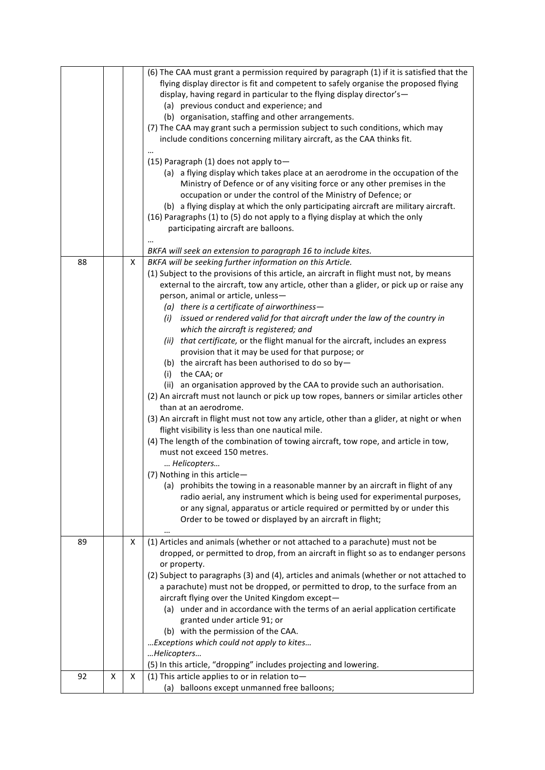|    |   |   | (6) The CAA must grant a permission required by paragraph (1) if it is satisfied that the |  |  |  |
|----|---|---|-------------------------------------------------------------------------------------------|--|--|--|
|    |   |   | flying display director is fit and competent to safely organise the proposed flying       |  |  |  |
|    |   |   | display, having regard in particular to the flying display director's-                    |  |  |  |
|    |   |   | (a) previous conduct and experience; and                                                  |  |  |  |
|    |   |   | (b) organisation, staffing and other arrangements.                                        |  |  |  |
|    |   |   | (7) The CAA may grant such a permission subject to such conditions, which may             |  |  |  |
|    |   |   | include conditions concerning military aircraft, as the CAA thinks fit.                   |  |  |  |
|    |   |   |                                                                                           |  |  |  |
|    |   |   |                                                                                           |  |  |  |
|    |   |   | (15) Paragraph (1) does not apply to-                                                     |  |  |  |
|    |   |   | (a) a flying display which takes place at an aerodrome in the occupation of the           |  |  |  |
|    |   |   | Ministry of Defence or of any visiting force or any other premises in the                 |  |  |  |
|    |   |   | occupation or under the control of the Ministry of Defence; or                            |  |  |  |
|    |   |   | (b) a flying display at which the only participating aircraft are military aircraft.      |  |  |  |
|    |   |   | (16) Paragraphs (1) to (5) do not apply to a flying display at which the only             |  |  |  |
|    |   |   | participating aircraft are balloons.                                                      |  |  |  |
|    |   |   |                                                                                           |  |  |  |
|    |   |   | BKFA will seek an extension to paragraph 16 to include kites.                             |  |  |  |
| 88 |   | X | BKFA will be seeking further information on this Article.                                 |  |  |  |
|    |   |   | (1) Subject to the provisions of this article, an aircraft in flight must not, by means   |  |  |  |
|    |   |   | external to the aircraft, tow any article, other than a glider, or pick up or raise any   |  |  |  |
|    |   |   | person, animal or article, unless-                                                        |  |  |  |
|    |   |   | (a) there is a certificate of airworthiness-                                              |  |  |  |
|    |   |   | (i) issued or rendered valid for that aircraft under the law of the country in            |  |  |  |
|    |   |   | which the aircraft is registered; and                                                     |  |  |  |
|    |   |   | (ii) that certificate, or the flight manual for the aircraft, includes an express         |  |  |  |
|    |   |   | provision that it may be used for that purpose; or                                        |  |  |  |
|    |   |   | (b) the aircraft has been authorised to do so by-                                         |  |  |  |
|    |   |   | (i) the CAA; or                                                                           |  |  |  |
|    |   |   | (ii) an organisation approved by the CAA to provide such an authorisation.                |  |  |  |
|    |   |   | (2) An aircraft must not launch or pick up tow ropes, banners or similar articles other   |  |  |  |
|    |   |   | than at an aerodrome.                                                                     |  |  |  |
|    |   |   | (3) An aircraft in flight must not tow any article, other than a glider, at night or when |  |  |  |
|    |   |   | flight visibility is less than one nautical mile.                                         |  |  |  |
|    |   |   | (4) The length of the combination of towing aircraft, tow rope, and article in tow,       |  |  |  |
|    |   |   | must not exceed 150 metres.                                                               |  |  |  |
|    |   |   | Helicopters                                                                               |  |  |  |
|    |   |   | (7) Nothing in this article-                                                              |  |  |  |
|    |   |   | (a) prohibits the towing in a reasonable manner by an aircraft in flight of any           |  |  |  |
|    |   |   | radio aerial, any instrument which is being used for experimental purposes,               |  |  |  |
|    |   |   | or any signal, apparatus or article required or permitted by or under this                |  |  |  |
|    |   |   | Order to be towed or displayed by an aircraft in flight;                                  |  |  |  |
|    |   |   |                                                                                           |  |  |  |
| 89 |   | X | (1) Articles and animals (whether or not attached to a parachute) must not be             |  |  |  |
|    |   |   | dropped, or permitted to drop, from an aircraft in flight so as to endanger persons       |  |  |  |
|    |   |   | or property.                                                                              |  |  |  |
|    |   |   | (2) Subject to paragraphs (3) and (4), articles and animals (whether or not attached to   |  |  |  |
|    |   |   | a parachute) must not be dropped, or permitted to drop, to the surface from an            |  |  |  |
|    |   |   | aircraft flying over the United Kingdom except-                                           |  |  |  |
|    |   |   | (a) under and in accordance with the terms of an aerial application certificate           |  |  |  |
|    |   |   | granted under article 91; or                                                              |  |  |  |
|    |   |   | (b) with the permission of the CAA.                                                       |  |  |  |
|    |   |   | Exceptions which could not apply to kites                                                 |  |  |  |
|    |   |   | Helicopters                                                                               |  |  |  |
|    |   |   | (5) In this article, "dropping" includes projecting and lowering.                         |  |  |  |
| 92 | Х | X | (1) This article applies to or in relation to-                                            |  |  |  |
|    |   |   | (a) balloons except unmanned free balloons;                                               |  |  |  |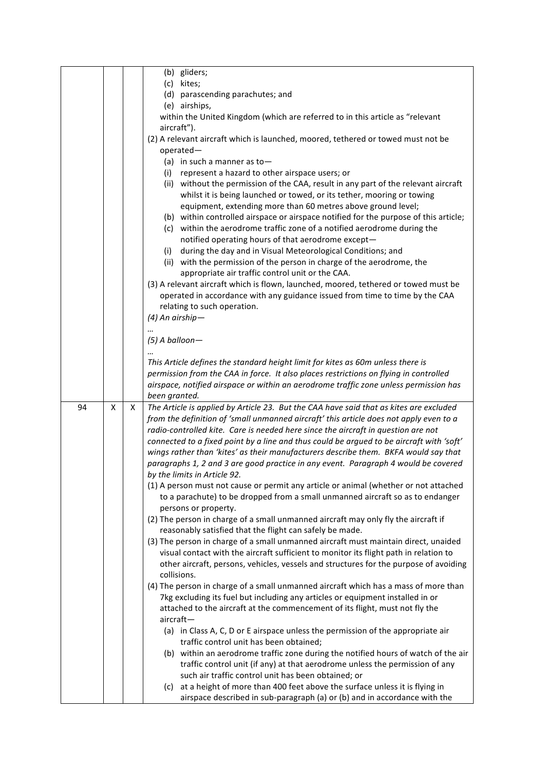|    |   |   | (b) gliders;                                                                                                                            |  |  |  |
|----|---|---|-----------------------------------------------------------------------------------------------------------------------------------------|--|--|--|
|    |   |   | (c) kites;                                                                                                                              |  |  |  |
|    |   |   | (d) parascending parachutes; and                                                                                                        |  |  |  |
|    |   |   | (e) airships,                                                                                                                           |  |  |  |
|    |   |   | within the United Kingdom (which are referred to in this article as "relevant                                                           |  |  |  |
|    |   |   | aircraft").                                                                                                                             |  |  |  |
|    |   |   | (2) A relevant aircraft which is launched, moored, tethered or towed must not be                                                        |  |  |  |
|    |   |   | $operated-$                                                                                                                             |  |  |  |
|    |   |   | (a) in such a manner as to-                                                                                                             |  |  |  |
|    |   |   | represent a hazard to other airspace users; or<br>(i)                                                                                   |  |  |  |
|    |   |   | (ii) without the permission of the CAA, result in any part of the relevant aircraft                                                     |  |  |  |
|    |   |   | whilst it is being launched or towed, or its tether, mooring or towing                                                                  |  |  |  |
|    |   |   | equipment, extending more than 60 metres above ground level;                                                                            |  |  |  |
|    |   |   | (b) within controlled airspace or airspace notified for the purpose of this article;                                                    |  |  |  |
|    |   |   | (c) within the aerodrome traffic zone of a notified aerodrome during the                                                                |  |  |  |
|    |   |   | notified operating hours of that aerodrome except-                                                                                      |  |  |  |
|    |   |   | during the day and in Visual Meteorological Conditions; and<br>(i)                                                                      |  |  |  |
|    |   |   | (ii) with the permission of the person in charge of the aerodrome, the                                                                  |  |  |  |
|    |   |   | appropriate air traffic control unit or the CAA.<br>(3) A relevant aircraft which is flown, launched, moored, tethered or towed must be |  |  |  |
|    |   |   | operated in accordance with any guidance issued from time to time by the CAA                                                            |  |  |  |
|    |   |   | relating to such operation.                                                                                                             |  |  |  |
|    |   |   | $(4)$ An airship-                                                                                                                       |  |  |  |
|    |   |   |                                                                                                                                         |  |  |  |
|    |   |   | $(5)$ A balloon-                                                                                                                        |  |  |  |
|    |   |   |                                                                                                                                         |  |  |  |
|    |   |   | This Article defines the standard height limit for kites as 60m unless there is                                                         |  |  |  |
|    |   |   | permission from the CAA in force. It also places restrictions on flying in controlled                                                   |  |  |  |
|    |   |   |                                                                                                                                         |  |  |  |
|    |   |   |                                                                                                                                         |  |  |  |
|    |   |   | airspace, notified airspace or within an aerodrome traffic zone unless permission has<br>been granted.                                  |  |  |  |
| 94 | X | Χ | The Article is applied by Article 23. But the CAA have said that as kites are excluded                                                  |  |  |  |
|    |   |   | from the definition of 'small unmanned aircraft' this article does not apply even to a                                                  |  |  |  |
|    |   |   | radio-controlled kite. Care is needed here since the aircraft in question are not                                                       |  |  |  |
|    |   |   | connected to a fixed point by a line and thus could be argued to be aircraft with 'soft'                                                |  |  |  |
|    |   |   | wings rather than 'kites' as their manufacturers describe them. BKFA would say that                                                     |  |  |  |
|    |   |   | paragraphs 1, 2 and 3 are good practice in any event. Paragraph 4 would be covered                                                      |  |  |  |
|    |   |   | by the limits in Article 92.                                                                                                            |  |  |  |
|    |   |   | (1) A person must not cause or permit any article or animal (whether or not attached                                                    |  |  |  |
|    |   |   | to a parachute) to be dropped from a small unmanned aircraft so as to endanger                                                          |  |  |  |
|    |   |   | persons or property.                                                                                                                    |  |  |  |
|    |   |   | (2) The person in charge of a small unmanned aircraft may only fly the aircraft if                                                      |  |  |  |
|    |   |   | reasonably satisfied that the flight can safely be made.                                                                                |  |  |  |
|    |   |   | (3) The person in charge of a small unmanned aircraft must maintain direct, unaided                                                     |  |  |  |
|    |   |   | visual contact with the aircraft sufficient to monitor its flight path in relation to                                                   |  |  |  |
|    |   |   | other aircraft, persons, vehicles, vessels and structures for the purpose of avoiding                                                   |  |  |  |
|    |   |   | collisions.                                                                                                                             |  |  |  |
|    |   |   | (4) The person in charge of a small unmanned aircraft which has a mass of more than                                                     |  |  |  |
|    |   |   | 7kg excluding its fuel but including any articles or equipment installed in or                                                          |  |  |  |
|    |   |   | attached to the aircraft at the commencement of its flight, must not fly the<br>aircraft-                                               |  |  |  |
|    |   |   | (a) in Class A, C, D or E airspace unless the permission of the appropriate air                                                         |  |  |  |
|    |   |   | traffic control unit has been obtained;                                                                                                 |  |  |  |
|    |   |   | (b) within an aerodrome traffic zone during the notified hours of watch of the air                                                      |  |  |  |
|    |   |   | traffic control unit (if any) at that aerodrome unless the permission of any                                                            |  |  |  |
|    |   |   | such air traffic control unit has been obtained; or                                                                                     |  |  |  |
|    |   |   | at a height of more than 400 feet above the surface unless it is flying in<br>(c)                                                       |  |  |  |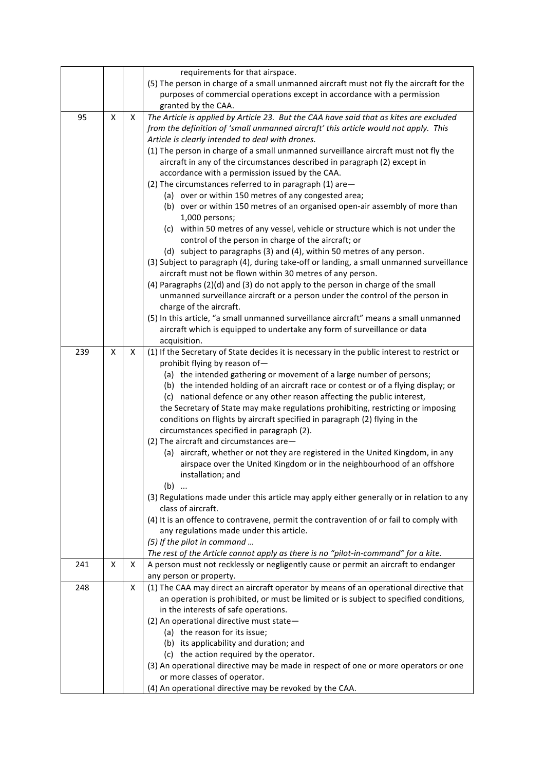|     |   |   | requirements for that airspace.                                                             |  |  |  |
|-----|---|---|---------------------------------------------------------------------------------------------|--|--|--|
|     |   |   | (5) The person in charge of a small unmanned aircraft must not fly the aircraft for the     |  |  |  |
|     |   |   | purposes of commercial operations except in accordance with a permission                    |  |  |  |
|     |   |   | granted by the CAA.                                                                         |  |  |  |
| 95  | X | Χ | The Article is applied by Article 23. But the CAA have said that as kites are excluded      |  |  |  |
|     |   |   | from the definition of 'small unmanned aircraft' this article would not apply. This         |  |  |  |
|     |   |   | Article is clearly intended to deal with drones.                                            |  |  |  |
|     |   |   | (1) The person in charge of a small unmanned surveillance aircraft must not fly the         |  |  |  |
|     |   |   | aircraft in any of the circumstances described in paragraph (2) except in                   |  |  |  |
|     |   |   | accordance with a permission issued by the CAA.                                             |  |  |  |
|     |   |   | (2) The circumstances referred to in paragraph (1) are-                                     |  |  |  |
|     |   |   | (a) over or within 150 metres of any congested area;                                        |  |  |  |
|     |   |   | (b) over or within 150 metres of an organised open-air assembly of more than                |  |  |  |
|     |   |   | 1,000 persons;                                                                              |  |  |  |
|     |   |   | (c) within 50 metres of any vessel, vehicle or structure which is not under the             |  |  |  |
|     |   |   | control of the person in charge of the aircraft; or                                         |  |  |  |
|     |   |   | (d) subject to paragraphs (3) and (4), within 50 metres of any person.                      |  |  |  |
|     |   |   | (3) Subject to paragraph (4), during take-off or landing, a small unmanned surveillance     |  |  |  |
|     |   |   | aircraft must not be flown within 30 metres of any person.                                  |  |  |  |
|     |   |   | (4) Paragraphs (2)(d) and (3) do not apply to the person in charge of the small             |  |  |  |
|     |   |   | unmanned surveillance aircraft or a person under the control of the person in               |  |  |  |
|     |   |   | charge of the aircraft.                                                                     |  |  |  |
|     |   |   | (5) In this article, "a small unmanned surveillance aircraft" means a small unmanned        |  |  |  |
|     |   |   | aircraft which is equipped to undertake any form of surveillance or data                    |  |  |  |
|     |   |   | acquisition.                                                                                |  |  |  |
| 239 | X | x | (1) If the Secretary of State decides it is necessary in the public interest to restrict or |  |  |  |
|     |   |   | prohibit flying by reason of-                                                               |  |  |  |
|     |   |   | (a) the intended gathering or movement of a large number of persons;                        |  |  |  |
|     |   |   | (b) the intended holding of an aircraft race or contest or of a flying display; or          |  |  |  |
|     |   |   | (c) national defence or any other reason affecting the public interest,                     |  |  |  |
|     |   |   | the Secretary of State may make regulations prohibiting, restricting or imposing            |  |  |  |
|     |   |   | conditions on flights by aircraft specified in paragraph (2) flying in the                  |  |  |  |
|     |   |   | circumstances specified in paragraph (2).                                                   |  |  |  |
|     |   |   | (2) The aircraft and circumstances are-                                                     |  |  |  |
|     |   |   | (a) aircraft, whether or not they are registered in the United Kingdom, in any              |  |  |  |
|     |   |   | airspace over the United Kingdom or in the neighbourhood of an offshore                     |  |  |  |
|     |   |   | installation; and                                                                           |  |  |  |
|     |   |   | $(b)$                                                                                       |  |  |  |
|     |   |   | (3) Regulations made under this article may apply either generally or in relation to any    |  |  |  |
|     |   |   | class of aircraft.                                                                          |  |  |  |
|     |   |   | (4) It is an offence to contravene, permit the contravention of or fail to comply with      |  |  |  |
|     |   |   | any regulations made under this article.                                                    |  |  |  |
|     |   |   | (5) If the pilot in command                                                                 |  |  |  |
|     |   |   | The rest of the Article cannot apply as there is no "pilot-in-command" for a kite.          |  |  |  |
| 241 | X | x | A person must not recklessly or negligently cause or permit an aircraft to endanger         |  |  |  |
|     |   |   | any person or property.                                                                     |  |  |  |
| 248 |   | X | (1) The CAA may direct an aircraft operator by means of an operational directive that       |  |  |  |
|     |   |   | an operation is prohibited, or must be limited or is subject to specified conditions,       |  |  |  |
|     |   |   | in the interests of safe operations.                                                        |  |  |  |
|     |   |   | (2) An operational directive must state-                                                    |  |  |  |
|     |   |   | (a) the reason for its issue;                                                               |  |  |  |
|     |   |   | (b) its applicability and duration; and                                                     |  |  |  |
|     |   |   | (c) the action required by the operator.                                                    |  |  |  |
|     |   |   | (3) An operational directive may be made in respect of one or more operators or one         |  |  |  |
|     |   |   | or more classes of operator.                                                                |  |  |  |
|     |   |   | (4) An operational directive may be revoked by the CAA.                                     |  |  |  |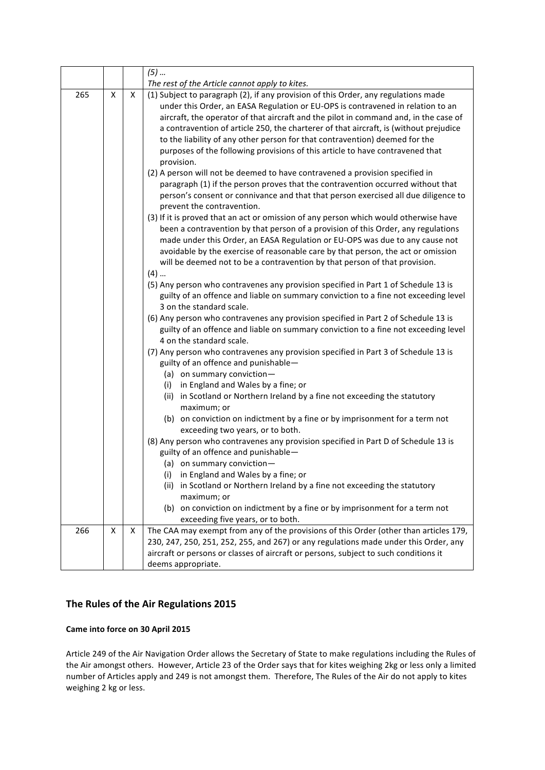|     |   |   | $(5)$                                                                                                                                                                                                                                                                                                                                                                                                                                                                                                                                                                                                                                                                                                                                                                                                                                                                                                                                                                                                                                                                                    |  |  |
|-----|---|---|------------------------------------------------------------------------------------------------------------------------------------------------------------------------------------------------------------------------------------------------------------------------------------------------------------------------------------------------------------------------------------------------------------------------------------------------------------------------------------------------------------------------------------------------------------------------------------------------------------------------------------------------------------------------------------------------------------------------------------------------------------------------------------------------------------------------------------------------------------------------------------------------------------------------------------------------------------------------------------------------------------------------------------------------------------------------------------------|--|--|
|     |   |   | The rest of the Article cannot apply to kites.                                                                                                                                                                                                                                                                                                                                                                                                                                                                                                                                                                                                                                                                                                                                                                                                                                                                                                                                                                                                                                           |  |  |
| 265 | X | X | (1) Subject to paragraph (2), if any provision of this Order, any regulations made<br>under this Order, an EASA Regulation or EU-OPS is contravened in relation to an<br>aircraft, the operator of that aircraft and the pilot in command and, in the case of<br>a contravention of article 250, the charterer of that aircraft, is (without prejudice<br>to the liability of any other person for that contravention) deemed for the<br>purposes of the following provisions of this article to have contravened that<br>provision.<br>(2) A person will not be deemed to have contravened a provision specified in<br>paragraph (1) if the person proves that the contravention occurred without that<br>person's consent or connivance and that that person exercised all due diligence to<br>prevent the contravention.<br>(3) If it is proved that an act or omission of any person which would otherwise have<br>been a contravention by that person of a provision of this Order, any regulations<br>made under this Order, an EASA Regulation or EU-OPS was due to any cause not |  |  |
|     |   |   | avoidable by the exercise of reasonable care by that person, the act or omission<br>will be deemed not to be a contravention by that person of that provision.<br>$(4)$<br>(5) Any person who contravenes any provision specified in Part 1 of Schedule 13 is<br>guilty of an offence and liable on summary conviction to a fine not exceeding level<br>3 on the standard scale.<br>(6) Any person who contravenes any provision specified in Part 2 of Schedule 13 is<br>guilty of an offence and liable on summary conviction to a fine not exceeding level<br>4 on the standard scale.<br>(7) Any person who contravenes any provision specified in Part 3 of Schedule 13 is<br>guilty of an offence and punishable-<br>(a) on summary conviction-<br>(i) in England and Wales by a fine; or<br>(ii) in Scotland or Northern Ireland by a fine not exceeding the statutory<br>maximum; or                                                                                                                                                                                             |  |  |
|     |   |   | (b) on conviction on indictment by a fine or by imprisonment for a term not<br>exceeding two years, or to both.<br>(8) Any person who contravenes any provision specified in Part D of Schedule 13 is<br>guilty of an offence and punishable-<br>(a) on summary conviction-<br>(i) in England and Wales by a fine; or<br>(ii) in Scotland or Northern Ireland by a fine not exceeding the statutory<br>maximum; or<br>(b) on conviction on indictment by a fine or by imprisonment for a term not<br>exceeding five years, or to both.                                                                                                                                                                                                                                                                                                                                                                                                                                                                                                                                                   |  |  |
| 266 | Χ | X | The CAA may exempt from any of the provisions of this Order (other than articles 179,<br>230, 247, 250, 251, 252, 255, and 267) or any regulations made under this Order, any<br>aircraft or persons or classes of aircraft or persons, subject to such conditions it<br>deems appropriate.                                                                                                                                                                                                                                                                                                                                                                                                                                                                                                                                                                                                                                                                                                                                                                                              |  |  |

# The Rules of the Air Regulations 2015

### **Came into force on 30 April 2015**

Article 249 of the Air Navigation Order allows the Secretary of State to make regulations including the Rules of the Air amongst others. However, Article 23 of the Order says that for kites weighing 2kg or less only a limited number of Articles apply and 249 is not amongst them. Therefore, The Rules of the Air do not apply to kites weighing 2 kg or less.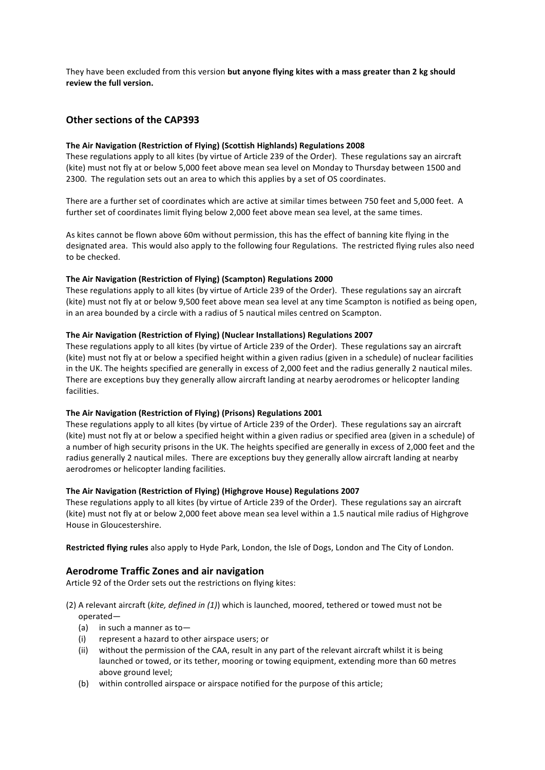They have been excluded from this version but anyone flying kites with a mass greater than 2 kg should review the full version.

## **Other sections of the CAP393**

### The Air Navigation (Restriction of Flying) (Scottish Highlands) Regulations 2008

These regulations apply to all kites (by virtue of Article 239 of the Order). These regulations say an aircraft (kite) must not fly at or below 5,000 feet above mean sea level on Monday to Thursday between 1500 and 2300. The regulation sets out an area to which this applies by a set of OS coordinates.

There are a further set of coordinates which are active at similar times between 750 feet and 5,000 feet. A further set of coordinates limit flying below 2,000 feet above mean sea level, at the same times.

As kites cannot be flown above 60m without permission, this has the effect of banning kite flying in the designated area. This would also apply to the following four Regulations. The restricted flying rules also need to be checked.

### **The Air Navigation (Restriction of Flying) (Scampton) Regulations 2000**

These regulations apply to all kites (by virtue of Article 239 of the Order). These regulations say an aircraft (kite) must not fly at or below 9,500 feet above mean sea level at any time Scampton is notified as being open, in an area bounded by a circle with a radius of 5 nautical miles centred on Scampton.

#### The Air Navigation (Restriction of Flying) (Nuclear Installations) Regulations 2007

These regulations apply to all kites (by virtue of Article 239 of the Order). These regulations say an aircraft (kite) must not fly at or below a specified height within a given radius (given in a schedule) of nuclear facilities in the UK. The heights specified are generally in excess of 2,000 feet and the radius generally 2 nautical miles. There are exceptions buy they generally allow aircraft landing at nearby aerodromes or helicopter landing facilities.

### **The Air Navigation (Restriction of Flying) (Prisons) Regulations 2001**

These regulations apply to all kites (by virtue of Article 239 of the Order). These regulations say an aircraft (kite) must not fly at or below a specified height within a given radius or specified area (given in a schedule) of a number of high security prisons in the UK. The heights specified are generally in excess of 2,000 feet and the radius generally 2 nautical miles. There are exceptions buy they generally allow aircraft landing at nearby aerodromes or helicopter landing facilities.

#### **The Air Navigation (Restriction of Flying) (Highgrove House) Regulations 2007**

These regulations apply to all kites (by virtue of Article 239 of the Order). These regulations say an aircraft (kite) must not fly at or below 2,000 feet above mean sea level within a 1.5 nautical mile radius of Highgrove House in Gloucestershire.

Restricted flying rules also apply to Hyde Park, London, the Isle of Dogs, London and The City of London.

### **Aerodrome Traffic Zones and air navigation**

Article 92 of the Order sets out the restrictions on flying kites:

- (2) A relevant aircraft (kite, defined in (1)) which is launched, moored, tethered or towed must not be operated—
	- (a) in such a manner as to-
	- (i) represent a hazard to other airspace users; or
	- (ii) without the permission of the CAA, result in any part of the relevant aircraft whilst it is being launched or towed, or its tether, mooring or towing equipment, extending more than 60 metres above ground level;
	- (b) within controlled airspace or airspace notified for the purpose of this article;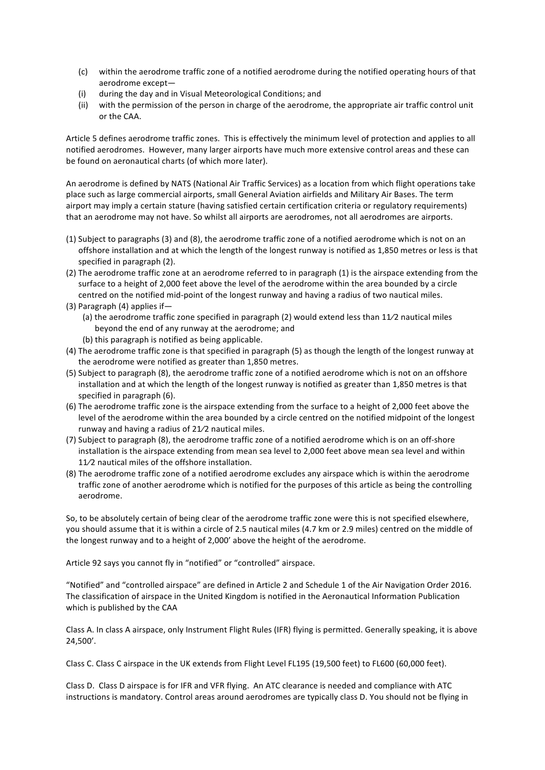- (c) within the aerodrome traffic zone of a notified aerodrome during the notified operating hours of that aerodrome except-
- (i) during the day and in Visual Meteorological Conditions; and
- (ii) with the permission of the person in charge of the aerodrome, the appropriate air traffic control unit or the CAA.

Article 5 defines aerodrome traffic zones. This is effectively the minimum level of protection and applies to all notified aerodromes. However, many larger airports have much more extensive control areas and these can be found on aeronautical charts (of which more later).

An aerodrome is defined by NATS (National Air Traffic Services) as a location from which flight operations take place such as large commercial airports, small General Aviation airfields and Military Air Bases. The term airport may imply a certain stature (having satisfied certain certification criteria or regulatory requirements) that an aerodrome may not have. So whilst all airports are aerodromes, not all aerodromes are airports.

- (1) Subject to paragraphs (3) and (8), the aerodrome traffic zone of a notified aerodrome which is not on an offshore installation and at which the length of the longest runway is notified as 1,850 metres or less is that specified in paragraph (2).
- (2) The aerodrome traffic zone at an aerodrome referred to in paragraph (1) is the airspace extending from the surface to a height of 2,000 feet above the level of the aerodrome within the area bounded by a circle centred on the notified mid-point of the longest runway and having a radius of two nautical miles.
- (3) Paragraph (4) applies if-
	- (a) the aerodrome traffic zone specified in paragraph (2) would extend less than 11/2 nautical miles beyond the end of any runway at the aerodrome; and
	- (b) this paragraph is notified as being applicable.
- (4) The aerodrome traffic zone is that specified in paragraph (5) as though the length of the longest runway at the aerodrome were notified as greater than 1,850 metres.
- (5) Subject to paragraph (8), the aerodrome traffic zone of a notified aerodrome which is not on an offshore installation and at which the length of the longest runway is notified as greater than 1,850 metres is that specified in paragraph (6).
- (6) The aerodrome traffic zone is the airspace extending from the surface to a height of 2,000 feet above the level of the aerodrome within the area bounded by a circle centred on the notified midpoint of the longest runway and having a radius of  $21/2$  nautical miles.
- (7) Subject to paragraph (8), the aerodrome traffic zone of a notified aerodrome which is on an off-shore installation is the airspace extending from mean sea level to 2,000 feet above mean sea level and within 11/2 nautical miles of the offshore installation.
- (8) The aerodrome traffic zone of a notified aerodrome excludes any airspace which is within the aerodrome traffic zone of another aerodrome which is notified for the purposes of this article as being the controlling aerodrome.

So, to be absolutely certain of being clear of the aerodrome traffic zone were this is not specified elsewhere, you should assume that it is within a circle of 2.5 nautical miles (4.7 km or 2.9 miles) centred on the middle of the longest runway and to a height of 2,000' above the height of the aerodrome.

Article 92 says you cannot fly in "notified" or "controlled" airspace.

"Notified" and "controlled airspace" are defined in Article 2 and Schedule 1 of the Air Navigation Order 2016. The classification of airspace in the United Kingdom is notified in the Aeronautical Information Publication which is published by the CAA

Class A. In class A airspace, only Instrument Flight Rules (IFR) flying is permitted. Generally speaking, it is above 24,500'.

Class C. Class C airspace in the UK extends from Flight Level FL195 (19,500 feet) to FL600 (60,000 feet).

Class D. Class D airspace is for IFR and VFR flying. An ATC clearance is needed and compliance with ATC instructions is mandatory. Control areas around aerodromes are typically class D. You should not be flying in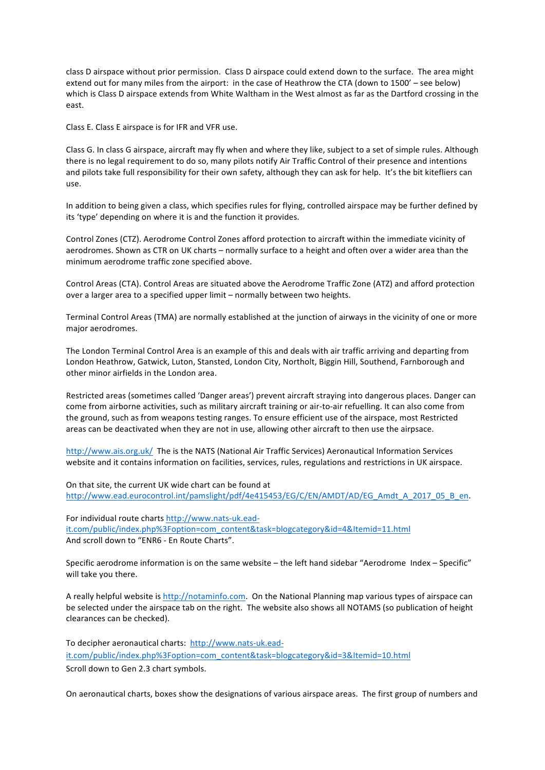class D airspace without prior permission. Class D airspace could extend down to the surface. The area might extend out for many miles from the airport: in the case of Heathrow the CTA (down to 1500' – see below) which is Class D airspace extends from White Waltham in the West almost as far as the Dartford crossing in the east.

Class E. Class E airspace is for IFR and VFR use.

Class G. In class G airspace, aircraft may fly when and where they like, subject to a set of simple rules. Although there is no legal requirement to do so, many pilots notify Air Traffic Control of their presence and intentions and pilots take full responsibility for their own safety, although they can ask for help. It's the bit kitefliers can use.

In addition to being given a class, which specifies rules for flying, controlled airspace may be further defined by its 'type' depending on where it is and the function it provides.

Control Zones (CTZ). Aerodrome Control Zones afford protection to aircraft within the immediate vicinity of aerodromes. Shown as CTR on UK charts – normally surface to a height and often over a wider area than the minimum aerodrome traffic zone specified above.

Control Areas (CTA). Control Areas are situated above the Aerodrome Traffic Zone (ATZ) and afford protection over a larger area to a specified upper limit - normally between two heights.

Terminal Control Areas (TMA) are normally established at the junction of airways in the vicinity of one or more major aerodromes.

The London Terminal Control Area is an example of this and deals with air traffic arriving and departing from London Heathrow, Gatwick, Luton, Stansted, London City, Northolt, Biggin Hill, Southend, Farnborough and other minor airfields in the London area.

Restricted areas (sometimes called 'Danger areas') prevent aircraft straying into dangerous places. Danger can come from airborne activities, such as military aircraft training or air-to-air refuelling. It can also come from the ground, such as from weapons testing ranges. To ensure efficient use of the airspace, most Restricted areas can be deactivated when they are not in use, allowing other aircraft to then use the airpsace.

http://www.ais.org.uk/ The is the NATS (National Air Traffic Services) Aeronautical Information Services website and it contains information on facilities, services, rules, regulations and restrictions in UK airspace.

On that site, the current UK wide chart can be found at http://www.ead.eurocontrol.int/pamslight/pdf/4e415453/EG/C/EN/AMDT/AD/EG\_Amdt\_A\_2017\_05\_B\_en.

For individual route charts http://www.nats-uk.eadit.com/public/index.php%3Foption=com\_content&task=blogcategory&id=4&Itemid=11.html And scroll down to "ENR6 - En Route Charts".

Specific aerodrome information is on the same website  $-$  the left hand sidebar "Aerodrome Index  $-$  Specific" will take you there.

A really helpful website is http://notaminfo.com. On the National Planning map various types of airspace can be selected under the airspace tab on the right. The website also shows all NOTAMS (so publication of height clearances can be checked).

To decipher aeronautical charts: http://www.nats-uk.eadit.com/public/index.php%3Foption=com\_content&task=blogcategory&id=3&Itemid=10.html Scroll down to Gen 2.3 chart symbols.

On aeronautical charts, boxes show the designations of various airspace areas. The first group of numbers and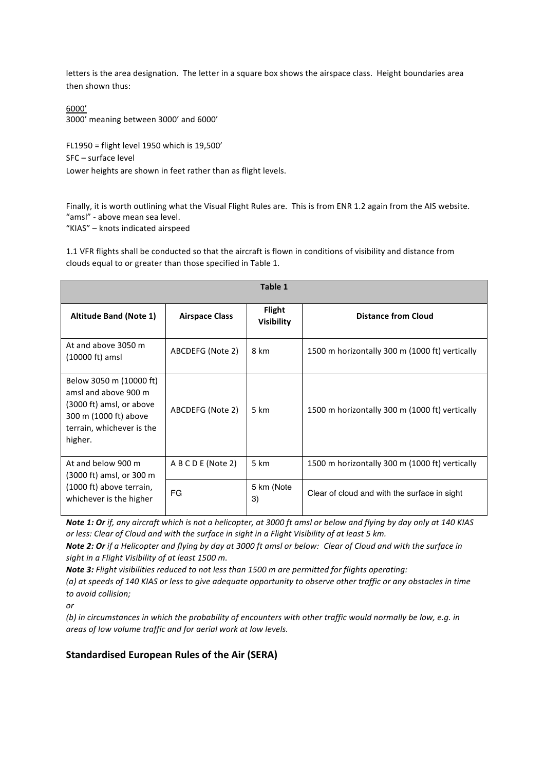letters is the area designation. The letter in a square box shows the airspace class. Height boundaries area then shown thus:

6000' 3000' meaning between 3000' and 6000'

FL1950 = flight level 1950 which is  $19,500'$ SFC - surface level Lower heights are shown in feet rather than as flight levels.

Finally, it is worth outlining what the Visual Flight Rules are. This is from ENR 1.2 again from the AIS website. "amsl" - above mean sea level.

"KIAS" - knots indicated airspeed

1.1 VFR flights shall be conducted so that the aircraft is flown in conditions of visibility and distance from clouds equal to or greater than those specified in Table 1.

| Table 1                                                                                                                                      |                       |                                    |                                                |  |  |  |  |
|----------------------------------------------------------------------------------------------------------------------------------------------|-----------------------|------------------------------------|------------------------------------------------|--|--|--|--|
| <b>Altitude Band (Note 1)</b>                                                                                                                | <b>Airspace Class</b> | <b>Flight</b><br><b>Visibility</b> | <b>Distance from Cloud</b>                     |  |  |  |  |
| At and above 3050 m<br>$(10000 \text{ ft})$ amsl                                                                                             | ABCDEFG (Note 2)      | 8 km                               | 1500 m horizontally 300 m (1000 ft) vertically |  |  |  |  |
| Below 3050 m (10000 ft)<br>amsl and above 900 m<br>(3000 ft) amsl, or above<br>300 m (1000 ft) above<br>terrain, whichever is the<br>higher. | ABCDEFG (Note 2)      | 5 km                               | 1500 m horizontally 300 m (1000 ft) vertically |  |  |  |  |
| At and below 900 m<br>(3000 ft) amsl, or 300 m                                                                                               | A B C D E (Note 2)    | 5 km                               | 1500 m horizontally 300 m (1000 ft) vertically |  |  |  |  |
| (1000 ft) above terrain,<br>whichever is the higher                                                                                          | FG                    | 5 km (Note<br>3)                   | Clear of cloud and with the surface in sight   |  |  |  |  |

**Note 1: Or** if, any aircraft which is not a helicopter, at 3000 ft amsl or below and flying by day only at 140 KIAS or less: Clear of Cloud and with the surface in sight in a Flight Visibility of at least 5 km.

*Note 2: Or if a Helicopter and flying by day at 3000 ft amsl or below: Clear of Cloud and with the surface in* sight in a Flight Visibility of at least 1500 m.

**Note 3:** Flight visibilities reduced to not less than 1500 m are permitted for flights operating:

*(a)* at speeds of 140 KIAS or less to give adequate opportunity to observe other traffic or any obstacles in time *to avoid collision;* 

*or* 

(b) in circumstances in which the probability of encounters with other traffic would normally be low, e.g. in areas of low volume traffic and for aerial work at low levels.

# **Standardised European Rules of the Air (SERA)**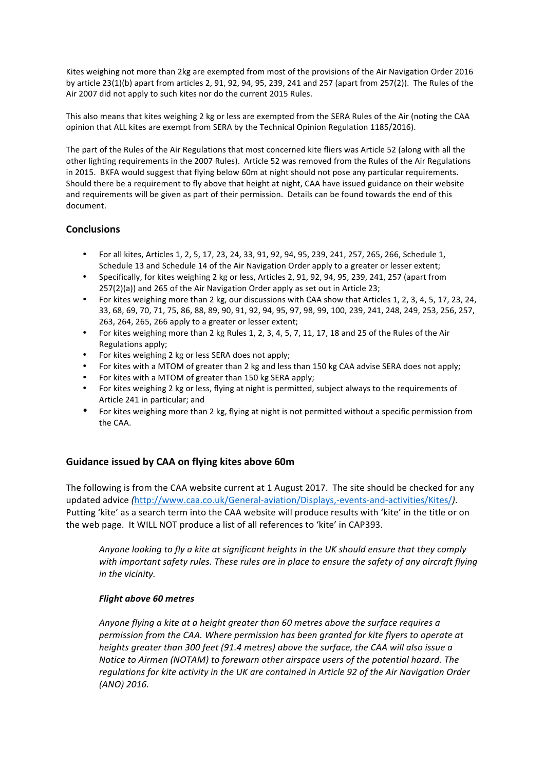Kites weighing not more than 2kg are exempted from most of the provisions of the Air Navigation Order 2016 by article 23(1)(b) apart from articles 2, 91, 92, 94, 95, 239, 241 and 257 (apart from 257(2)). The Rules of the Air 2007 did not apply to such kites nor do the current 2015 Rules.

This also means that kites weighing 2 kg or less are exempted from the SERA Rules of the Air (noting the CAA opinion that ALL kites are exempt from SERA by the Technical Opinion Regulation 1185/2016).

The part of the Rules of the Air Regulations that most concerned kite fliers was Article 52 (along with all the other lighting requirements in the 2007 Rules). Article 52 was removed from the Rules of the Air Regulations in 2015. BKFA would suggest that flying below 60m at night should not pose any particular requirements. Should there be a requirement to fly above that height at night, CAA have issued guidance on their website and requirements will be given as part of their permission. Details can be found towards the end of this document.

# **Conclusions**

- For all kites, Articles 1, 2, 5, 17, 23, 24, 33, 91, 92, 94, 95, 239, 241, 257, 265, 266, Schedule 1, Schedule 13 and Schedule 14 of the Air Navigation Order apply to a greater or lesser extent;
- Specifically, for kites weighing 2 kg or less, Articles 2, 91, 92, 94, 95, 239, 241, 257 (apart from  $257(2)(a)$ ) and  $265$  of the Air Navigation Order apply as set out in Article 23;
- For kites weighing more than 2 kg, our discussions with CAA show that Articles 1, 2, 3, 4, 5, 17, 23, 24, 33, 68, 69, 70, 71, 75, 86, 88, 89, 90, 91, 92, 94, 95, 97, 98, 99, 100, 239, 241, 248, 249, 253, 256, 257, 263, 264, 265, 266 apply to a greater or lesser extent;
- For kites weighing more than 2 kg Rules 1, 2, 3, 4, 5, 7, 11, 17, 18 and 25 of the Rules of the Air Regulations apply;
- For kites weighing 2 kg or less SERA does not apply;
- For kites with a MTOM of greater than 2 kg and less than 150 kg CAA advise SERA does not apply;
- For kites with a MTOM of greater than 150 kg SERA apply;
- For kites weighing 2 kg or less, flying at night is permitted, subject always to the requirements of Article 241 in particular; and
- For kites weighing more than 2 kg, flying at night is not permitted without a specific permission from the CAA.

# Guidance issued by CAA on flying kites above 60m

The following is from the CAA website current at 1 August 2017. The site should be checked for any updated advice *(*http://www.caa.co.uk/General-aviation/Displays,-events-and-activities/Kites/*)*. Putting 'kite' as a search term into the CAA website will produce results with 'kite' in the title or on the web page. It WILL NOT produce a list of all references to 'kite' in CAP393.

*Anyone looking to fly a kite at significant heights in the UK should ensure that they comply* with important safety rules. These rules are in place to ensure the safety of any aircraft flying *in the vicinity.*

### *Flight above 60 metres*

*Anyone flying a kite at a height greater than 60 metres above the surface requires a* permission from the CAA. Where permission has been granted for kite flyers to operate at *heights greater than 300 feet (91.4 metres) above the surface, the CAA will also issue a Notice to Airmen (NOTAM)* to forewarn other airspace users of the potential hazard. The regulations for kite activity in the UK are contained in Article 92 of the Air Navigation Order *(ANO) 2016.*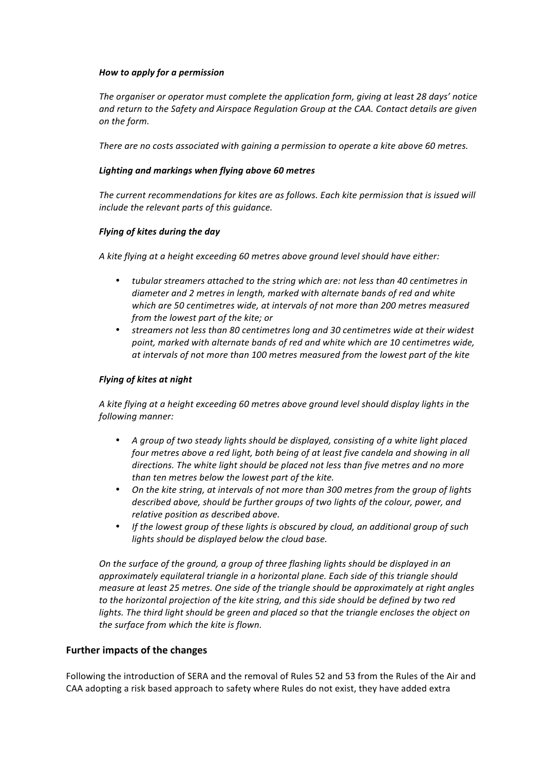### *How to apply for a permission*

The organiser or operator must complete the application form, giving at least 28 days' notice and return to the Safety and Airspace Regulation Group at the CAA. Contact details are given *on the form.*

There are no costs associated with gaining a permission to operate a kite above 60 metres.

## Lighting and markings when flying above 60 metres

The current recommendations for kites are as follows. Each kite permission that is issued will *include the relevant parts of this quidance.* 

## *Flying of kites during the day*

A kite flying at a height exceeding 60 metres above ground level should have either:

- tubular streamers attached to the string which are: not less than 40 centimetres in *diameter and 2 metres in length, marked with alternate bands of red and white* which are 50 centimetres wide, at intervals of not more than 200 metres measured *from the lowest part of the kite: or*
- streamers not less than 80 centimetres long and 30 centimetres wide at their widest point, marked with alternate bands of red and white which are 10 centimetres wide, at intervals of not more than 100 metres measured from the lowest part of the kite

## *Flying of kites at night*

A kite flying at a height exceeding 60 metres above ground level should display lights in the *following manner:*

- A group of two steady lights should be displayed, consisting of a white light placed *four metres above a red light, both being of at least five candela and showing in all* directions. The white light should be placed not less than five metres and no more *than ten metres below the lowest part of the kite.*
- On the kite string, at intervals of not more than 300 metres from the group of lights *described above, should be further groups of two lights of the colour, power, and relative position as described above.*
- If the lowest group of these lights is obscured by cloud, an additional group of such lights should be displayed below the cloud base.

*On the surface of the ground, a group of three flashing lights should be displayed in an approximately equilateral triangle in a horizontal plane. Each side of this triangle should measure at least 25 metres. One side of the triangle should be approximately at right angles* to the horizontal projection of the kite string, and this side should be defined by two red *lights.* The third light should be green and placed so that the triangle encloses the object on the surface from which the kite is flown.

# **Further impacts of the changes**

Following the introduction of SERA and the removal of Rules 52 and 53 from the Rules of the Air and CAA adopting a risk based approach to safety where Rules do not exist, they have added extra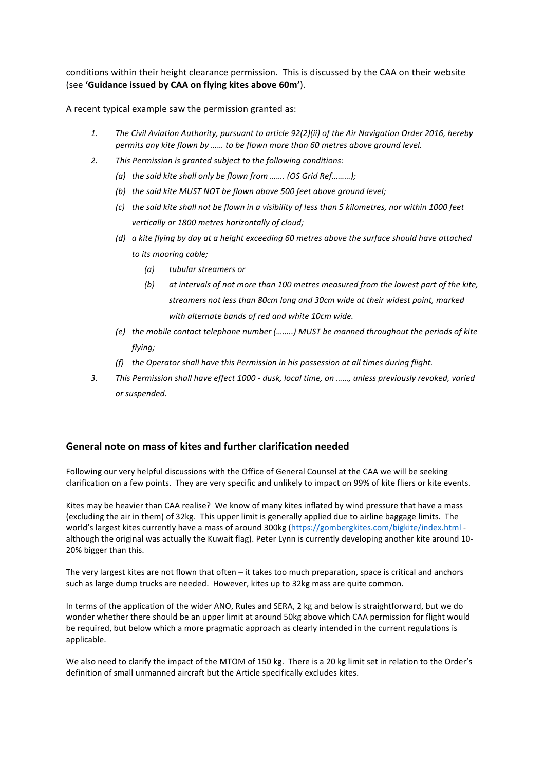conditions within their height clearance permission. This is discussed by the CAA on their website (see 'Guidance issued by CAA on flying kites above 60m').

A recent typical example saw the permission granted as:

- 1. The Civil Aviation Authority, pursuant to article  $92(2)(ii)$  of the Air Navigation Order 2016, hereby *permits* any kite flown by ...... to be flown more than 60 metres above ground level.
- 2. This Permission is granted subject to the following conditions:
	- *(a)* the said kite shall only be flown from ……. *(OS Grid Ref………)*;
	- *(b)* the said kite MUST NOT be flown above 500 feet above ground level;
	- *(c)* the said kite shall not be flown in a visibility of less than 5 kilometres, nor within 1000 feet vertically or 1800 metres horizontally of cloud;
	- *(d)* a kite flying by day at a height exceeding 60 metres above the surface should have attached to its mooring cable;
		- *(a) tubular streamers or*
		- (b) at intervals of not more than 100 metres measured from the lowest part of the kite, streamers not less than 80cm long and 30cm wide at their widest point, marked with alternate bands of red and white 10cm wide.
	- *(e)* the mobile contact telephone number (........) MUST be manned throughout the periods of kite *flying;*
	- *(f)* the Operator shall have this Permission in his possession at all times during flight.
- 3. This Permission shall have effect 1000 dusk, local time, on ……, unless previously revoked, varied *or suspended.*

### General note on mass of kites and further clarification needed

Following our very helpful discussions with the Office of General Counsel at the CAA we will be seeking clarification on a few points. They are very specific and unlikely to impact on 99% of kite fliers or kite events.

Kites may be heavier than CAA realise? We know of many kites inflated by wind pressure that have a mass (excluding the air in them) of 32kg. This upper limit is generally applied due to airline baggage limits. The world's largest kites currently have a mass of around 300kg (https://gombergkites.com/bigkite/index.html although the original was actually the Kuwait flag). Peter Lynn is currently developing another kite around 10-20% bigger than this.

The very largest kites are not flown that often  $-$  it takes too much preparation, space is critical and anchors such as large dump trucks are needed. However, kites up to 32kg mass are quite common.

In terms of the application of the wider ANO, Rules and SERA, 2 kg and below is straightforward, but we do wonder whether there should be an upper limit at around 50kg above which CAA permission for flight would be required, but below which a more pragmatic approach as clearly intended in the current regulations is applicable.

We also need to clarify the impact of the MTOM of 150 kg. There is a 20 kg limit set in relation to the Order's definition of small unmanned aircraft but the Article specifically excludes kites.